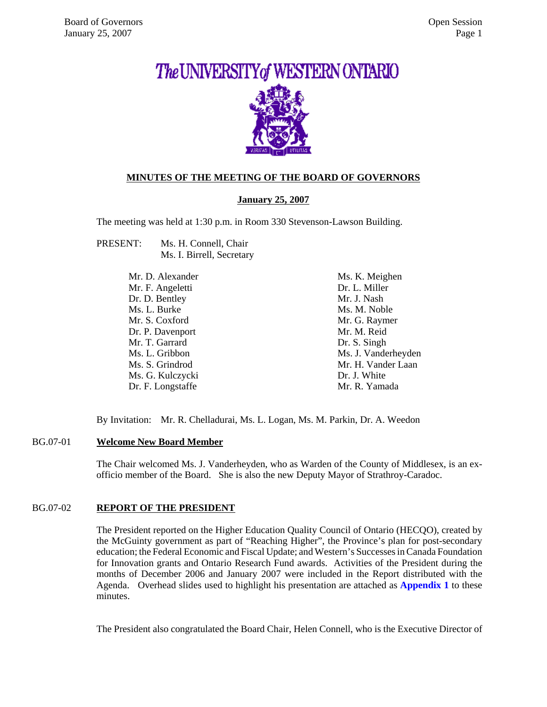# The UNIVERSITY of WESTERN ONTARIO

## **MINUTES OF THE MEETING OF THE BOARD OF GOVERNORS**

#### **January 25, 2007**

The meeting was held at 1:30 p.m. in Room 330 Stevenson-Lawson Building.

PRESENT: Ms. H. Connell, Chair Ms. I. Birrell, Secretary

| Mr. D. Alexander  | Ms. K. Meighen      |
|-------------------|---------------------|
| Mr. F. Angeletti  | Dr. L. Miller       |
| Dr. D. Bentley    | Mr. J. Nash         |
| Ms. L. Burke      | Ms. M. Noble        |
| Mr. S. Coxford    | Mr. G. Raymer       |
| Dr. P. Davenport  | Mr. M. Reid         |
| Mr. T. Garrard    | Dr. S. Singh        |
| Ms. L. Gribbon    | Ms. J. Vanderheyden |
| Ms. S. Grindrod   | Mr. H. Vander Laan  |
| Ms. G. Kulczycki  | Dr. J. White        |
| Dr. F. Longstaffe | Mr. R. Yamada       |

By Invitation: Mr. R. Chelladurai, Ms. L. Logan, Ms. M. Parkin, Dr. A. Weedon

#### BG.07-01 **Welcome New Board Member**

The Chair welcomed Ms. J. Vanderheyden, who as Warden of the County of Middlesex, is an exofficio member of the Board. She is also the new Deputy Mayor of Strathroy-Caradoc.

#### BG.07-02 **REPORT OF THE PRESIDENT**

The President reported on the Higher Education Quality Council of Ontario (HECQO), created by the McGuinty government as part of "Reaching Higher", the Province's plan for post-secondary education; the Federal Economic and Fiscal Update; and Western's Successes in Canada Foundation for Innovation grants and Ontario Research Fund awards. Activities of the President during the months of December 2006 and January 2007 were included in the Report distributed with the Agenda. Overhead slides used to highlight his presentation are attached as **[Appendix 1](#page-4-0)** to these minutes.

The President also congratulated the Board Chair, Helen Connell, who is the Executive Director of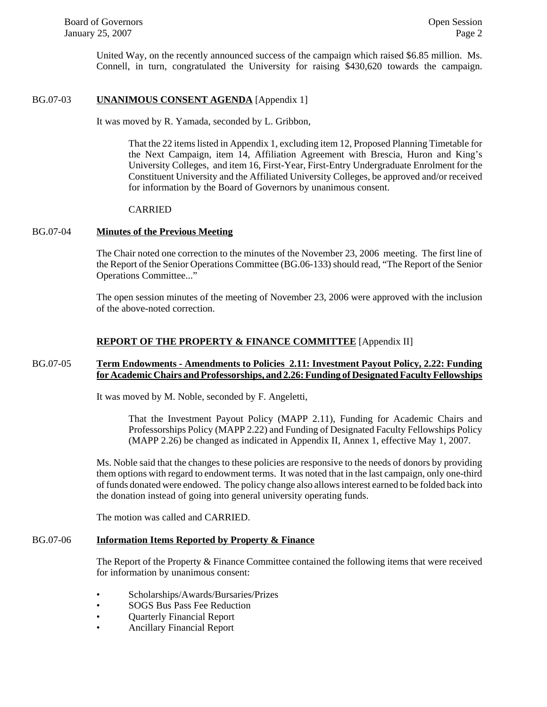United Way, on the recently announced success of the campaign which raised \$6.85 million. Ms. Connell, in turn, congratulated the University for raising \$430,620 towards the campaign.

#### BG.07-03 **UNANIMOUS CONSENT AGENDA** [Appendix 1]

It was moved by R. Yamada, seconded by L. Gribbon,

That the 22 items listed in Appendix 1, excluding item 12, Proposed Planning Timetable for the Next Campaign, item 14, Affiliation Agreement with Brescia, Huron and King's University Colleges, and item 16, First-Year, First-Entry Undergraduate Enrolment for the Constituent University and the Affiliated University Colleges, be approved and/or received for information by the Board of Governors by unanimous consent.

#### CARRIED

#### BG.07-04 **Minutes of the Previous Meeting**

The Chair noted one correction to the minutes of the November 23, 2006 meeting. The first line of the Report of the Senior Operations Committee (BG.06-133) should read, "The Report of the Senior Operations Committee..."

The open session minutes of the meeting of November 23, 2006 were approved with the inclusion of the above-noted correction.

#### **REPORT OF THE PROPERTY & FINANCE COMMITTEE** [Appendix II]

#### BG.07-05 **Term Endowments - Amendments to Policies 2.11: Investment Payout Policy, 2.22: Funding for Academic Chairs and Professorships, and 2.26: Funding of Designated Faculty Fellowships**

It was moved by M. Noble, seconded by F. Angeletti,

That the Investment Payout Policy (MAPP 2.11), Funding for Academic Chairs and Professorships Policy (MAPP 2.22) and Funding of Designated Faculty Fellowships Policy (MAPP 2.26) be changed as indicated in Appendix II, Annex 1, effective May 1, 2007.

Ms. Noble said that the changes to these policies are responsive to the needs of donors by providing them options with regard to endowment terms. It was noted that in the last campaign, only one-third of funds donated were endowed. The policy change also allows interest earned to be folded back into the donation instead of going into general university operating funds.

The motion was called and CARRIED.

## BG.07-06 **Information Items Reported by Property & Finance**

The Report of the Property & Finance Committee contained the following items that were received for information by unanimous consent:

- Scholarships/Awards/Bursaries/Prizes
- SOGS Bus Pass Fee Reduction
- Quarterly Financial Report
- Ancillary Financial Report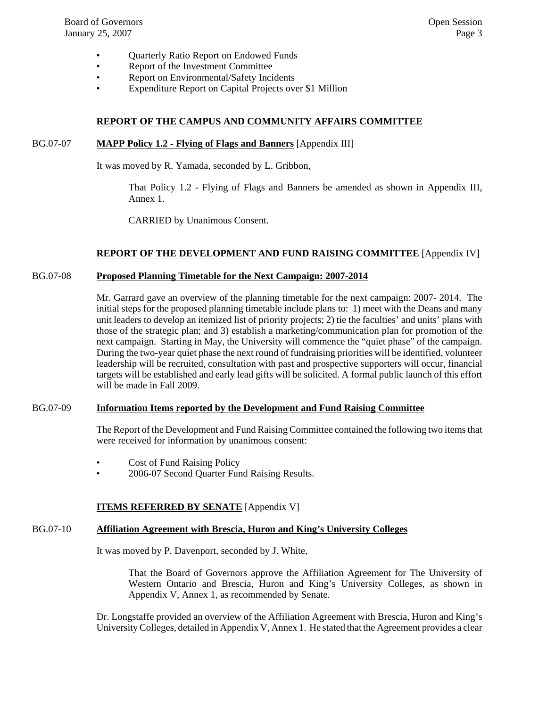- Quarterly Ratio Report on Endowed Funds
- Report of the Investment Committee
- Report on Environmental/Safety Incidents
- Expenditure Report on Capital Projects over \$1 Million

#### **REPORT OF THE CAMPUS AND COMMUNITY AFFAIRS COMMITTEE**

#### BG.07-07 **MAPP Policy 1.2 - Flying of Flags and Banners** [Appendix III]

It was moved by R. Yamada, seconded by L. Gribbon,

That Policy 1.2 - Flying of Flags and Banners be amended as shown in Appendix III, Annex 1.

CARRIED by Unanimous Consent.

#### **REPORT OF THE DEVELOPMENT AND FUND RAISING COMMITTEE** [Appendix IV]

#### BG.07-08 **Proposed Planning Timetable for the Next Campaign: 2007-2014**

Mr. Garrard gave an overview of the planning timetable for the next campaign: 2007- 2014. The initial steps for the proposed planning timetable include plans to: 1) meet with the Deans and many unit leaders to develop an itemized list of priority projects; 2) tie the faculties' and units' plans with those of the strategic plan; and 3) establish a marketing/communication plan for promotion of the next campaign. Starting in May, the University will commence the "quiet phase" of the campaign. During the two-year quiet phase the next round of fundraising priorities will be identified, volunteer leadership will be recruited, consultation with past and prospective supporters will occur, financial targets will be established and early lead gifts will be solicited. A formal public launch of this effort will be made in Fall 2009.

#### BG.07-09 **Information Items reported by the Development and Fund Raising Committee**

The Report of the Development and Fund Raising Committee contained the following two items that were received for information by unanimous consent:

- Cost of Fund Raising Policy
- 2006-07 Second Quarter Fund Raising Results.

#### **ITEMS REFERRED BY SENATE** [Appendix V]

## BG.07-10 **Affiliation Agreement with Brescia, Huron and King's University Colleges**

It was moved by P. Davenport, seconded by J. White,

That the Board of Governors approve the Affiliation Agreement for The University of Western Ontario and Brescia, Huron and King's University Colleges, as shown in Appendix V, Annex 1, as recommended by Senate.

Dr. Longstaffe provided an overview of the Affiliation Agreement with Brescia, Huron and King's University Colleges, detailed in Appendix V, Annex 1. He stated that the Agreement provides a clear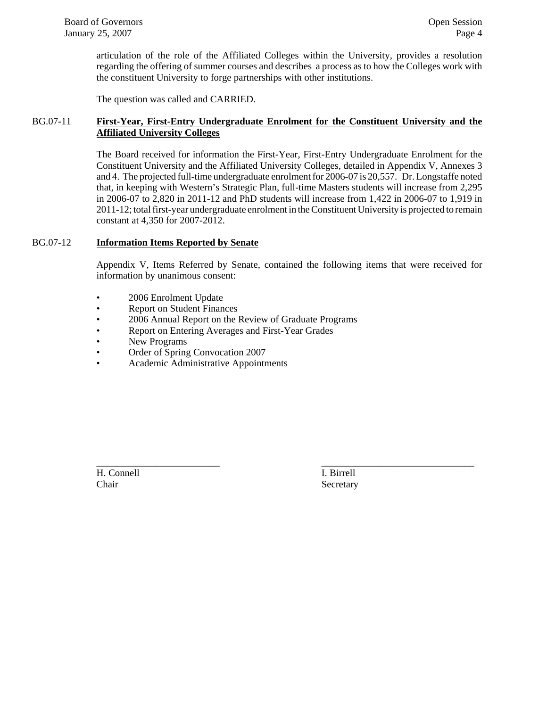articulation of the role of the Affiliated Colleges within the University, provides a resolution regarding the offering of summer courses and describes a process as to how the Colleges work with the constituent University to forge partnerships with other institutions.

The question was called and CARRIED.

#### BG.07-11 **First-Year, First-Entry Undergraduate Enrolment for the Constituent University and the Affiliated University Colleges**

The Board received for information the First-Year, First-Entry Undergraduate Enrolment for the Constituent University and the Affiliated University Colleges, detailed in Appendix V, Annexes 3 and 4. The projected full-time undergraduate enrolment for 2006-07 is 20,557. Dr. Longstaffe noted that, in keeping with Western's Strategic Plan, full-time Masters students will increase from 2,295 in 2006-07 to 2,820 in 2011-12 and PhD students will increase from 1,422 in 2006-07 to 1,919 in 2011-12; total first-year undergraduate enrolment in the Constituent University is projected to remain constant at 4,350 for 2007-2012.

#### BG.07-12 **Information Items Reported by Senate**

Appendix V, Items Referred by Senate, contained the following items that were received for information by unanimous consent:

\_\_\_\_\_\_\_\_\_\_\_\_\_\_\_\_\_\_\_\_\_\_\_\_\_ \_\_\_\_\_\_\_\_\_\_\_\_\_\_\_\_\_\_\_\_\_\_\_\_\_\_\_\_\_\_\_

- 2006 Enrolment Update
- Report on Student Finances
- 2006 Annual Report on the Review of Graduate Programs
- Report on Entering Averages and First-Year Grades
- New Programs
- Order of Spring Convocation 2007
- Academic Administrative Appointments

H. Connell I. Birrell Chair Secretary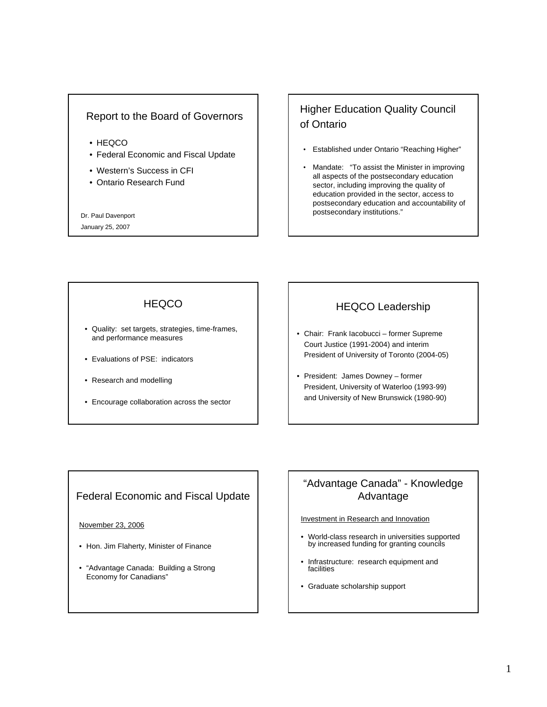## <span id="page-4-0"></span>Report to the Board of Governors

- HEQCO
- Federal Economic and Fiscal Update
- Western's Success in CFI
- Ontario Research Fund

Dr. Paul Davenport

January 25, 2007

# Higher Education Quality Council of Ontario

- Established under Ontario "Reaching Higher"
- Mandate: "To assist the Minister in improving all aspects of the postsecondary education sector, including improving the quality of education provided in the sector, access to postsecondary education and accountability of postsecondary institutions."

## **HEQCO**

- Quality: set targets, strategies, time-frames, and performance measures
- Evaluations of PSE: indicators
- Research and modelling
- Encourage collaboration across the sector

## HEQCO Leadership

- Chair: Frank Iacobucci former Supreme Court Justice (1991-2004) and interim President of University of Toronto (2004-05)
- President: James Downey former President, University of Waterloo (1993-99) and University of New Brunswick (1980-90)

## Federal Economic and Fiscal Update

#### November 23, 2006

- Hon. Jim Flaherty, Minister of Finance
- "Advantage Canada: Building a Strong Economy for Canadians"

## "Advantage Canada" - Knowledge Advantage

#### Investment in Research and Innovation

- World-class research in universities supported by increased funding for granting councils
- Infrastructure: research equipment and facilities
- Graduate scholarship support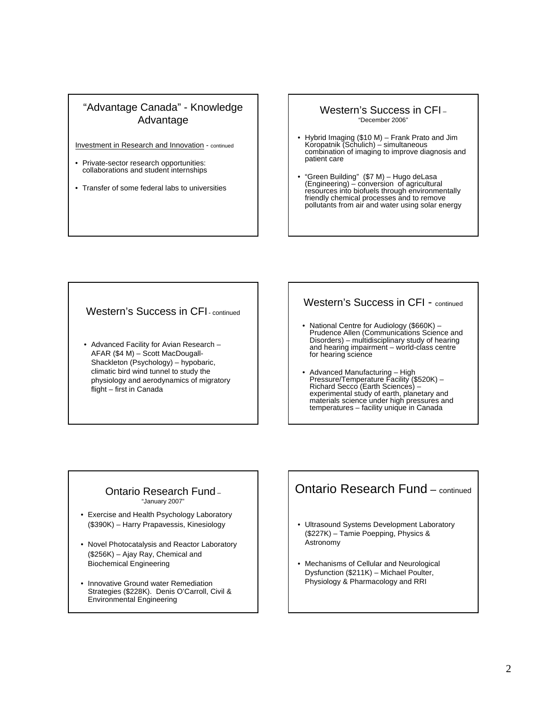## "Advantage Canada" - Knowledge Advantage

Investment in Research and Innovation - continued

- Private-sector research opportunities: collaborations and student internships
- Transfer of some federal labs to universities

## Western's Success in CFI –

"December 2006"

- Hybrid Imaging (\$10 M) Frank Prato and Jim Koropatnik (Schulich) simultaneous combination of imaging to improve diagnosis and patient care
- "Green Building" (\$7 M) Hugo deLasa (Engineering) conversion of agricultural resources into biofuels through environmentally friendly chemical processes and to remove pollutants from air and water using solar energy

#### Western's Success in CFI<sub>-continued</sub>

• Advanced Facility for Avian Research – AFAR (\$4 M) – Scott MacDougall-Shackleton (Psychology) – hypobaric, climatic bird wind tunnel to study the physiology and aerodynamics of migratory flight – first in Canada

#### Western's Success in CFI - continued

- National Centre for Audiology (\$660K) Prudence Allen (Communications Science and Disorders) – multidisciplinary study of hearing and hearing impairment – world-class centre for hearing science
- Advanced Manufacturing High Pressure/Temperature Facility (\$520K) Richard Secco (Earth Sciences) – experimental study of earth, planetary and materials science under high pressures and temperatures – facility unique in Canada

#### Ontario Research Fund – "January 2007"

- Exercise and Health Psychology Laboratory (\$390K) – Harry Prapavessis, Kinesiology
- Novel Photocatalysis and Reactor Laboratory (\$256K) – Ajay Ray, Chemical and Biochemical Engineering
- Innovative Ground water Remediation Strategies (\$228K). Denis O'Carroll, Civil & Environmental Engineering

## Ontario Research Fund – continued

- Ultrasound Systems Development Laboratory (\$227K) – Tamie Poepping, Physics & Astronomy
- Mechanisms of Cellular and Neurological Dysfunction (\$211K) – Michael Poulter, Physiology & Pharmacology and RRI